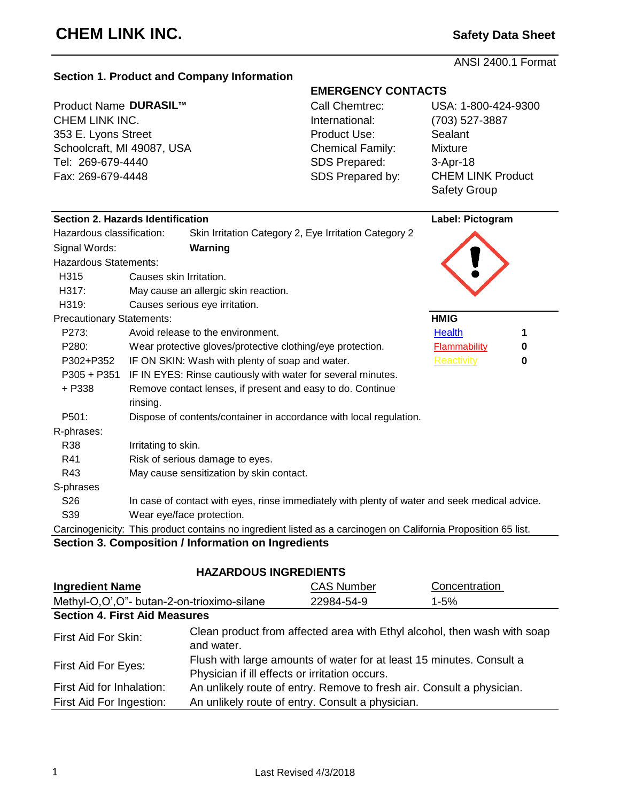## ANSI 2400.1 Format

## **Section 1. Product and Company Information**

| Product Name DURASIL <sup>™</sup> | Call Chemtrec:          |
|-----------------------------------|-------------------------|
| CHEM LINK INC.                    | International:          |
| 353 E. Lyons Street               | <b>Product Use:</b>     |
| Schoolcraft, MI 49087, USA        | <b>Chemical Family:</b> |
| Tel: 269-679-4440                 | <b>SDS Prepared:</b>    |
| Fax: 269-679-4448                 | SDS Prepared by:        |

# **EMERGENCY CONTACTS**

| Product Name DURASIL™      | Call Chemtrec:          | USA: 1-800-424-9300      |
|----------------------------|-------------------------|--------------------------|
| CHEM LINK INC.             | International:          | (703) 527-3887           |
| 353 E. Lyons Street        | Product Use:            | Sealant                  |
| Schoolcraft, MI 49087, USA | <b>Chemical Family:</b> | Mixture                  |
| Tel: 269-679-4440          | SDS Prepared:           | $3-Apr-18$               |
| Fax: 269-679-4448          | SDS Prepared by:        | <b>CHEM LINK Product</b> |
|                            |                         | <b>Safety Group</b>      |

| Section 2. Hazards Identification |                                      |                                                                                                                | Label: Pictogram         |  |
|-----------------------------------|--------------------------------------|----------------------------------------------------------------------------------------------------------------|--------------------------|--|
| Hazardous classification:         |                                      | Skin Irritation Category 2, Eye Irritation Category 2                                                          |                          |  |
| Signal Words:                     |                                      | Warning                                                                                                        |                          |  |
| <b>Hazardous Statements:</b>      |                                      |                                                                                                                |                          |  |
| H315                              | Causes skin Irritation.              |                                                                                                                |                          |  |
| H317:                             | May cause an allergic skin reaction. |                                                                                                                |                          |  |
| H319:                             |                                      | Causes serious eye irritation.                                                                                 |                          |  |
| <b>Precautionary Statements:</b>  |                                      |                                                                                                                | <b>HMIG</b>              |  |
| P273:                             |                                      | Avoid release to the environment.                                                                              | <b>Health</b>            |  |
| P280:                             |                                      | Wear protective gloves/protective clothing/eye protection.                                                     | <b>Flammability</b><br>0 |  |
| P302+P352                         |                                      | IF ON SKIN: Wash with plenty of soap and water.                                                                | <b>Reactivity</b><br>0   |  |
| $P305 + P351$                     |                                      | IF IN EYES: Rinse cautiously with water for several minutes.                                                   |                          |  |
| + P338                            |                                      | Remove contact lenses, if present and easy to do. Continue                                                     |                          |  |
|                                   | rinsing.                             |                                                                                                                |                          |  |
| P <sub>501</sub> :                |                                      | Dispose of contents/container in accordance with local regulation.                                             |                          |  |
| R-phrases:                        |                                      |                                                                                                                |                          |  |
| R38                               | Irritating to skin.                  |                                                                                                                |                          |  |
| R41                               |                                      | Risk of serious damage to eyes.                                                                                |                          |  |
| R43                               |                                      | May cause sensitization by skin contact.                                                                       |                          |  |
| S-phrases                         |                                      |                                                                                                                |                          |  |
| S <sub>26</sub>                   |                                      | In case of contact with eyes, rinse immediately with plenty of water and seek medical advice.                  |                          |  |
| S39                               |                                      | Wear eye/face protection.                                                                                      |                          |  |
|                                   |                                      | Carcinogenicity: This product contains no ingredient listed as a carcinogen on California Proposition 65 list. |                          |  |

# **Section 3. Composition / Information on Ingredients**

| <b>HAZARDOUS INGREDIENTS</b>               |                                                  |                                                                       |                                                                          |
|--------------------------------------------|--------------------------------------------------|-----------------------------------------------------------------------|--------------------------------------------------------------------------|
| <b>Ingredient Name</b>                     |                                                  | <b>CAS Number</b>                                                     | Concentration                                                            |
| Methyl-O,O',O"- butan-2-on-trioximo-silane |                                                  | 22984-54-9                                                            | $1 - 5%$                                                                 |
| <b>Section 4. First Aid Measures</b>       |                                                  |                                                                       |                                                                          |
| First Aid For Skin:                        | and water.                                       |                                                                       | Clean product from affected area with Ethyl alcohol, then wash with soap |
| First Aid For Eyes:                        | Physician if ill effects or irritation occurs.   | Flush with large amounts of water for at least 15 minutes. Consult a  |                                                                          |
| First Aid for Inhalation:                  |                                                  | An unlikely route of entry. Remove to fresh air. Consult a physician. |                                                                          |
| First Aid For Ingestion:                   | An unlikely route of entry. Consult a physician. |                                                                       |                                                                          |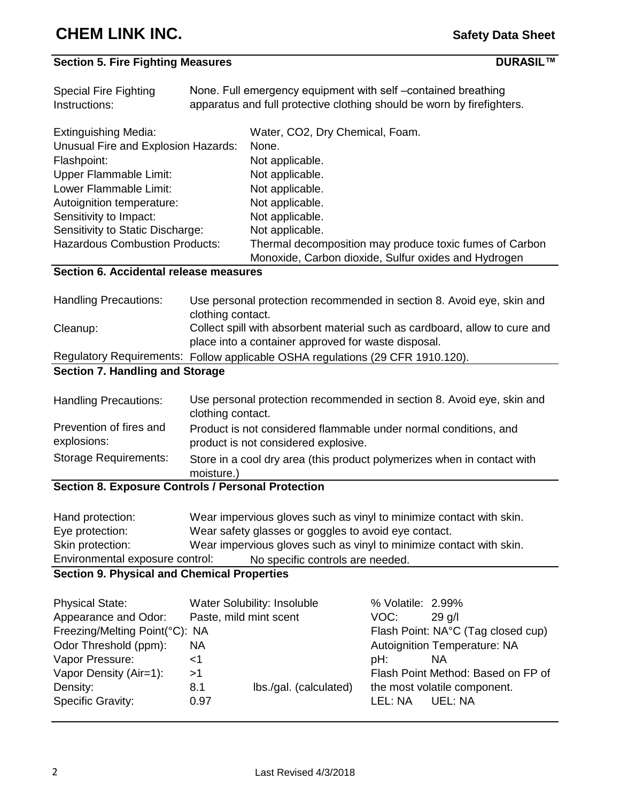# **Section 5. Fire Fighting Measures**

#### **DURASIL™**

| <b>Special Fire Fighting</b><br>Instructions:                                  |                                                                                                                                   | None. Full emergency equipment with self-contained breathing<br>apparatus and full protective clothing should be worn by firefighters. |                   |                                                                       |
|--------------------------------------------------------------------------------|-----------------------------------------------------------------------------------------------------------------------------------|----------------------------------------------------------------------------------------------------------------------------------------|-------------------|-----------------------------------------------------------------------|
| <b>Extinguishing Media:</b>                                                    |                                                                                                                                   | Water, CO2, Dry Chemical, Foam.                                                                                                        |                   |                                                                       |
| Unusual Fire and Explosion Hazards:                                            |                                                                                                                                   | None.                                                                                                                                  |                   |                                                                       |
| Flashpoint:                                                                    |                                                                                                                                   | Not applicable.                                                                                                                        |                   |                                                                       |
| Upper Flammable Limit:                                                         |                                                                                                                                   | Not applicable.                                                                                                                        |                   |                                                                       |
| Lower Flammable Limit:                                                         |                                                                                                                                   | Not applicable.                                                                                                                        |                   |                                                                       |
| Autoignition temperature:                                                      |                                                                                                                                   | Not applicable.                                                                                                                        |                   |                                                                       |
| Sensitivity to Impact:                                                         |                                                                                                                                   | Not applicable.<br>Not applicable.                                                                                                     |                   |                                                                       |
| Sensitivity to Static Discharge:                                               |                                                                                                                                   |                                                                                                                                        |                   |                                                                       |
| <b>Hazardous Combustion Products:</b>                                          |                                                                                                                                   | Thermal decomposition may produce toxic fumes of Carbon<br>Monoxide, Carbon dioxide, Sulfur oxides and Hydrogen                        |                   |                                                                       |
| Section 6. Accidental release measures                                         |                                                                                                                                   |                                                                                                                                        |                   |                                                                       |
|                                                                                |                                                                                                                                   |                                                                                                                                        |                   |                                                                       |
| <b>Handling Precautions:</b>                                                   | clothing contact.                                                                                                                 |                                                                                                                                        |                   | Use personal protection recommended in section 8. Avoid eye, skin and |
| Cleanup:                                                                       |                                                                                                                                   |                                                                                                                                        |                   |                                                                       |
|                                                                                | Collect spill with absorbent material such as cardboard, allow to cure and<br>place into a container approved for waste disposal. |                                                                                                                                        |                   |                                                                       |
| Regulatory Requirements: Follow applicable OSHA regulations (29 CFR 1910.120). |                                                                                                                                   |                                                                                                                                        |                   |                                                                       |
| <b>Section 7. Handling and Storage</b>                                         |                                                                                                                                   |                                                                                                                                        |                   |                                                                       |
|                                                                                |                                                                                                                                   |                                                                                                                                        |                   |                                                                       |
| <b>Handling Precautions:</b>                                                   | clothing contact.                                                                                                                 |                                                                                                                                        |                   | Use personal protection recommended in section 8. Avoid eye, skin and |
| Prevention of fires and                                                        |                                                                                                                                   |                                                                                                                                        |                   |                                                                       |
| explosions:                                                                    | Product is not considered flammable under normal conditions, and<br>product is not considered explosive.                          |                                                                                                                                        |                   |                                                                       |
| <b>Storage Requirements:</b>                                                   | Store in a cool dry area (this product polymerizes when in contact with<br>moisture.)                                             |                                                                                                                                        |                   |                                                                       |
| <b>Section 8. Exposure Controls / Personal Protection</b>                      |                                                                                                                                   |                                                                                                                                        |                   |                                                                       |
|                                                                                |                                                                                                                                   |                                                                                                                                        |                   |                                                                       |
| Hand protection:                                                               |                                                                                                                                   |                                                                                                                                        |                   |                                                                       |
| Eye protection:                                                                | Wear impervious gloves such as vinyl to minimize contact with skin.<br>Wear safety glasses or goggles to avoid eye contact.       |                                                                                                                                        |                   |                                                                       |
| Skin protection:                                                               | Wear impervious gloves such as vinyl to minimize contact with skin.                                                               |                                                                                                                                        |                   |                                                                       |
| Environmental exposure control:                                                |                                                                                                                                   | No specific controls are needed.                                                                                                       |                   |                                                                       |
| <b>Section 9. Physical and Chemical Properties</b>                             |                                                                                                                                   |                                                                                                                                        |                   |                                                                       |
|                                                                                |                                                                                                                                   |                                                                                                                                        |                   |                                                                       |
| <b>Physical State:</b>                                                         |                                                                                                                                   | Water Solubility: Insoluble                                                                                                            | % Volatile: 2.99% |                                                                       |
| Appearance and Odor:                                                           | Paste, mild mint scent                                                                                                            |                                                                                                                                        | VOC:              | $29$ g/l                                                              |
| Freezing/Melting Point(°C): NA                                                 |                                                                                                                                   |                                                                                                                                        |                   | Flash Point: NA°C (Tag closed cup)                                    |
| Odor Threshold (ppm):                                                          | <b>NA</b>                                                                                                                         |                                                                                                                                        |                   | Autoignition Temperature: NA                                          |
| Vapor Pressure:                                                                | $<$ 1                                                                                                                             |                                                                                                                                        | pH:               | <b>NA</b>                                                             |
| Vapor Density (Air=1):                                                         | >1                                                                                                                                |                                                                                                                                        |                   | Flash Point Method: Based on FP of                                    |
| Density:                                                                       | 8.1                                                                                                                               | lbs./gal. (calculated)                                                                                                                 |                   | the most volatile component.                                          |
| <b>Specific Gravity:</b>                                                       | 0.97                                                                                                                              |                                                                                                                                        | LEL: NA           | UEL: NA                                                               |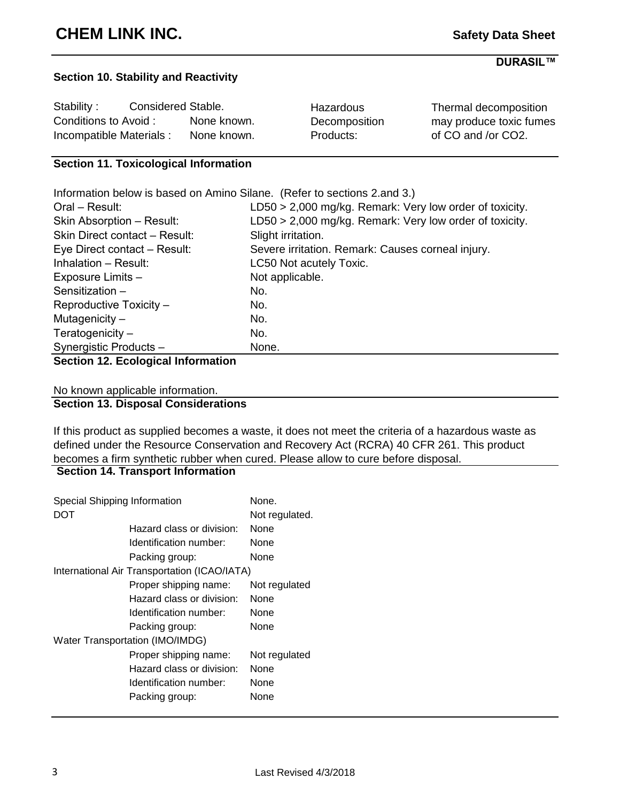**DURASIL™**

#### **Section 10. Stability and Reactivity**

Stability : Considered Stable. Conditions to Avoid : None known. Incompatible Materials : None known.

**Hazardous Decomposition** Products:

Thermal decomposition may produce toxic fumes of CO and /or CO2.

### **Section 11. Toxicological Information**

Information below is based on Amino Silane. (Refer to sections 2.and 3.) Oral – Result: LD50 > 2,000 mg/kg. Remark: Very low order of toxicity.

| Skin Absorption - Result:     | LD50 > 2,000 mg/kg. Remark: Very low order of toxicity. |
|-------------------------------|---------------------------------------------------------|
| Skin Direct contact - Result: | Slight irritation.                                      |
| Eye Direct contact - Result:  | Severe irritation. Remark: Causes corneal injury.       |
| Inhalation - Result:          | LC50 Not acutely Toxic.                                 |
| Exposure Limits -             | Not applicable.                                         |
| Sensitization -               | No.                                                     |
| Reproductive Toxicity -       | No.                                                     |
| Mutagenicity-                 | No.                                                     |
| Teratogenicity -              | No.                                                     |
| Synergistic Products -        | None.                                                   |
|                               |                                                         |

**Section 12. Ecological Information**

## No known applicable information.

### **Section 13. Disposal Considerations**

If this product as supplied becomes a waste, it does not meet the criteria of a hazardous waste as defined under the Resource Conservation and Recovery Act (RCRA) 40 CFR 261. This product becomes a firm synthetic rubber when cured. Please allow to cure before disposal.

#### **Section 14. Transport Information**

| Special Shipping Information    |                                              | None.          |
|---------------------------------|----------------------------------------------|----------------|
| DOT                             |                                              | Not regulated. |
|                                 | Hazard class or division:                    | None           |
|                                 | Identification number:                       | None           |
|                                 | Packing group:                               | None           |
|                                 | International Air Transportation (ICAO/IATA) |                |
|                                 | Proper shipping name:                        | Not regulated  |
|                                 | Hazard class or division:                    | None           |
|                                 | Identification number:                       | None           |
|                                 | Packing group:                               | None           |
| Water Transportation (IMO/IMDG) |                                              |                |
|                                 | Proper shipping name:                        | Not regulated  |
|                                 | Hazard class or division:                    | None           |
|                                 | Identification number:                       | None           |
|                                 | Packing group:                               | None           |
|                                 |                                              |                |